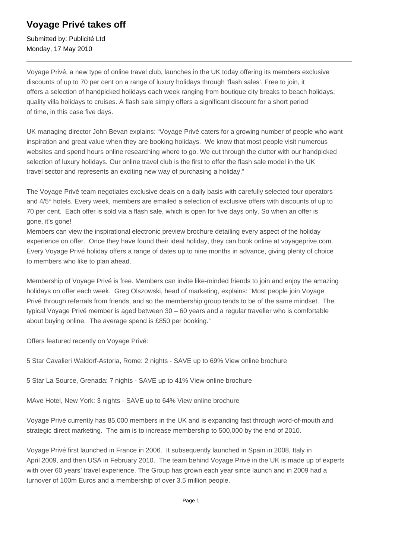## **Voyage Privé takes off**

Submitted by: Publicité Ltd Monday, 17 May 2010

Voyage Privé, a new type of online travel club, launches in the UK today offering its members exclusive discounts of up to 70 per cent on a range of luxury holidays through 'flash sales'. Free to join, it offers a selection of handpicked holidays each week ranging from boutique city breaks to beach holidays, quality villa holidays to cruises. A flash sale simply offers a significant discount for a short period of time, in this case five days.

UK managing director John Bevan explains: "Voyage Privé caters for a growing number of people who want inspiration and great value when they are booking holidays. We know that most people visit numerous websites and spend hours online researching where to go. We cut through the clutter with our handpicked selection of luxury holidays. Our online travel club is the first to offer the flash sale model in the UK travel sector and represents an exciting new way of purchasing a holiday."

The Voyage Privé team negotiates exclusive deals on a daily basis with carefully selected tour operators and 4/5\* hotels. Every week, members are emailed a selection of exclusive offers with discounts of up to 70 per cent. Each offer is sold via a flash sale, which is open for five days only. So when an offer is gone, it's gone!

Members can view the inspirational electronic preview brochure detailing every aspect of the holiday experience on offer. Once they have found their ideal holiday, they can book online at voyageprive.com. Every Voyage Privé holiday offers a range of dates up to nine months in advance, giving plenty of choice to members who like to plan ahead.

Membership of Voyage Privé is free. Members can invite like-minded friends to join and enjoy the amazing holidays on offer each week. Greg Olszowski, head of marketing, explains: "Most people join Voyage Privé through referrals from friends, and so the membership group tends to be of the same mindset. The typical Voyage Privé member is aged between 30 – 60 years and a regular traveller who is comfortable about buying online. The average spend is £850 per booking."

Offers featured recently on Voyage Privé:

5 Star Cavalieri Waldorf-Astoria, Rome: 2 nights - SAVE up to 69% View online brochure

5 Star La Source, Grenada: 7 nights - SAVE up to 41% View online brochure

MAve Hotel, New York: 3 nights - SAVE up to 64% View online brochure

Voyage Privé currently has 85,000 members in the UK and is expanding fast through word-of-mouth and strategic direct marketing. The aim is to increase membership to 500,000 by the end of 2010.

Voyage Privé first launched in France in 2006. It subsequently launched in Spain in 2008, Italy in April 2009, and then USA in February 2010. The team behind Voyage Privé in the UK is made up of experts with over 60 years' travel experience. The Group has grown each year since launch and in 2009 had a turnover of 100m Euros and a membership of over 3.5 million people.